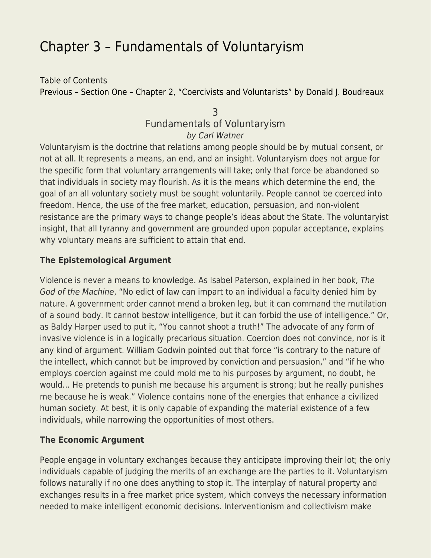# [Chapter 3 – Fundamentals of Voluntaryism](https://everything-voluntary.com/everything-voluntary-chapter-3)

[Table of Contents](http://everything-voluntary.com/p/book-project.html) [Previous – Section One – Chapter 2, "Coercivists and Voluntarists" by Donald J. Boudreaux](http://everything-voluntary.com/2012/05/everything-voluntary-chapter-2.html)

# 3 Fundamentals of Voluntaryism by Carl Watner

Voluntaryism is the doctrine that relations among people should be by mutual consent, or not at all. It represents a means, an end, and an insight. Voluntaryism does not argue for the specific form that voluntary arrangements will take; only that force be abandoned so that individuals in society may flourish. As it is the means which determine the end, the goal of an all voluntary society must be sought voluntarily. People cannot be coerced into freedom. Hence, the use of the free market, education, persuasion, and non-violent resistance are the primary ways to change people's ideas about the State. The voluntaryist insight, that all tyranny and government are grounded upon popular acceptance, explains why voluntary means are sufficient to attain that end.

# **The Epistemological Argument**

Violence is never a means to knowledge. As Isabel Paterson, explained in her book, The God of the Machine, "No edict of law can impart to an individual a faculty denied him by nature. A government order cannot mend a broken leg, but it can command the mutilation of a sound body. It cannot bestow intelligence, but it can forbid the use of intelligence." Or, as Baldy Harper used to put it, "You cannot shoot a truth!" The advocate of any form of invasive violence is in a logically precarious situation. Coercion does not convince, nor is it any kind of argument. William Godwin pointed out that force "is contrary to the nature of the intellect, which cannot but be improved by conviction and persuasion," and "if he who employs coercion against me could mold me to his purposes by argument, no doubt, he would… He pretends to punish me because his argument is strong; but he really punishes me because he is weak." Violence contains none of the energies that enhance a civilized human society. At best, it is only capable of expanding the material existence of a few individuals, while narrowing the opportunities of most others.

# **The Economic Argument**

People engage in voluntary exchanges because they anticipate improving their lot; the only individuals capable of judging the merits of an exchange are the parties to it. Voluntaryism follows naturally if no one does anything to stop it. The interplay of natural property and exchanges results in a free market price system, which conveys the necessary information needed to make intelligent economic decisions. Interventionism and collectivism make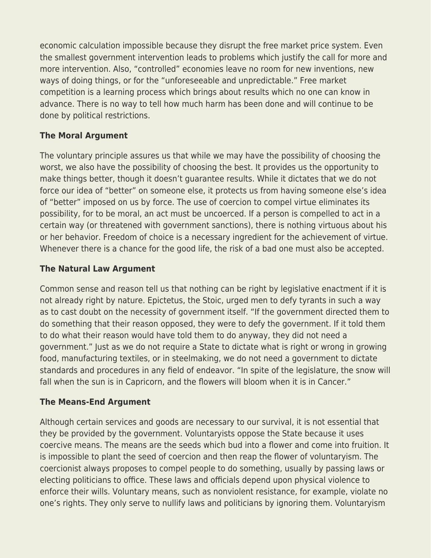economic calculation impossible because they disrupt the free market price system. Even the smallest government intervention leads to problems which justify the call for more and more intervention. Also, "controlled" economies leave no room for new inventions, new ways of doing things, or for the "unforeseeable and unpredictable." Free market competition is a learning process which brings about results which no one can know in advance. There is no way to tell how much harm has been done and will continue to be done by political restrictions.

# **The Moral Argument**

The voluntary principle assures us that while we may have the possibility of choosing the worst, we also have the possibility of choosing the best. It provides us the opportunity to make things better, though it doesn't guarantee results. While it dictates that we do not force our idea of "better" on someone else, it protects us from having someone else's idea of "better" imposed on us by force. The use of coercion to compel virtue eliminates its possibility, for to be moral, an act must be uncoerced. If a person is compelled to act in a certain way (or threatened with government sanctions), there is nothing virtuous about his or her behavior. Freedom of choice is a necessary ingredient for the achievement of virtue. Whenever there is a chance for the good life, the risk of a bad one must also be accepted.

# **The Natural Law Argument**

Common sense and reason tell us that nothing can be right by legislative enactment if it is not already right by nature. Epictetus, the Stoic, urged men to defy tyrants in such a way as to cast doubt on the necessity of government itself. "If the government directed them to do something that their reason opposed, they were to defy the government. If it told them to do what their reason would have told them to do anyway, they did not need a government." Just as we do not require a State to dictate what is right or wrong in growing food, manufacturing textiles, or in steelmaking, we do not need a government to dictate standards and procedures in any field of endeavor. "In spite of the legislature, the snow will fall when the sun is in Capricorn, and the flowers will bloom when it is in Cancer."

#### **The Means-End Argument**

Although certain services and goods are necessary to our survival, it is not essential that they be provided by the government. Voluntaryists oppose the State because it uses coercive means. The means are the seeds which bud into a flower and come into fruition. It is impossible to plant the seed of coercion and then reap the flower of voluntaryism. The coercionist always proposes to compel people to do something, usually by passing laws or electing politicians to office. These laws and officials depend upon physical violence to enforce their wills. Voluntary means, such as nonviolent resistance, for example, violate no one's rights. They only serve to nullify laws and politicians by ignoring them. Voluntaryism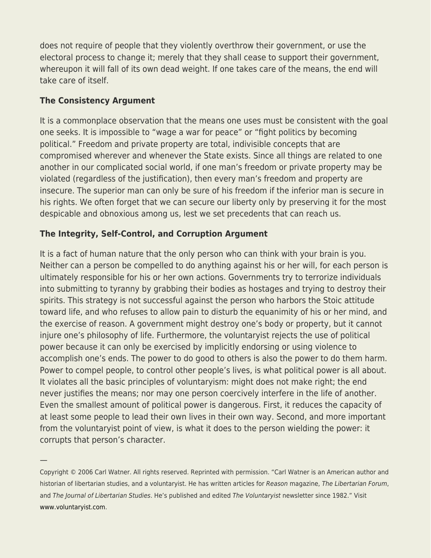does not require of people that they violently overthrow their government, or use the electoral process to change it; merely that they shall cease to support their government, whereupon it will fall of its own dead weight. If one takes care of the means, the end will take care of itself.

# **The Consistency Argument**

—

It is a commonplace observation that the means one uses must be consistent with the goal one seeks. It is impossible to "wage a war for peace" or "fight politics by becoming political." Freedom and private property are total, indivisible concepts that are compromised wherever and whenever the State exists. Since all things are related to one another in our complicated social world, if one man's freedom or private property may be violated (regardless of the justification), then every man's freedom and property are insecure. The superior man can only be sure of his freedom if the inferior man is secure in his rights. We often forget that we can secure our liberty only by preserving it for the most despicable and obnoxious among us, lest we set precedents that can reach us.

# **The Integrity, Self-Control, and Corruption Argument**

It is a fact of human nature that the only person who can think with your brain is you. Neither can a person be compelled to do anything against his or her will, for each person is ultimately responsible for his or her own actions. Governments try to terrorize individuals into submitting to tyranny by grabbing their bodies as hostages and trying to destroy their spirits. This strategy is not successful against the person who harbors the Stoic attitude toward life, and who refuses to allow pain to disturb the equanimity of his or her mind, and the exercise of reason. A government might destroy one's body or property, but it cannot injure one's philosophy of life. Furthermore, the voluntaryist rejects the use of political power because it can only be exercised by implicitly endorsing or using violence to accomplish one's ends. The power to do good to others is also the power to do them harm. Power to compel people, to control other people's lives, is what political power is all about. It violates all the basic principles of voluntaryism: might does not make right; the end never justifies the means; nor may one person coercively interfere in the life of another. Even the smallest amount of political power is dangerous. First, it reduces the capacity of at least some people to lead their own lives in their own way. Second, and more important from the voluntaryist point of view, is what it does to the person wielding the power: it corrupts that person's character.

Copyright © 2006 Carl Watner. All rights reserved. Reprinted with permission. "Carl Watner is an American author and historian of libertarian studies, and a voluntaryist. He has written articles for Reason magazine, The Libertarian Forum, and The Journal of Libertarian Studies. He's published and edited The Voluntaryist newsletter since 1982." Visit [www.voluntaryist.com.](http://www.voluntaryist.com/)